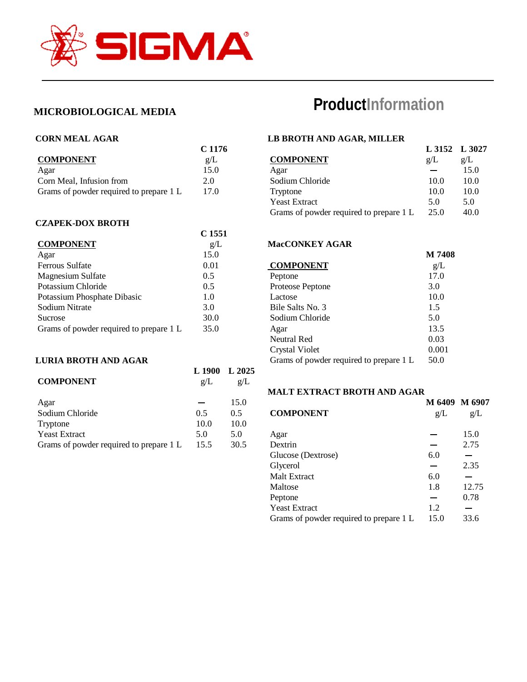

# **MICROBIOLOGICAL MEDIA**

#### **CORN MEAL AGAR**

| C 1176 |
|--------|
| g/L    |
| 15.0   |
| 2.0    |
| 17.0   |
|        |

#### **CZAPEK-DOX BROTH**

|                                         | C 1551 |
|-----------------------------------------|--------|
| <b>COMPONENT</b>                        | g/L    |
| Agar                                    | 15.0   |
| Ferrous Sulfate                         | 0.01   |
| <b>Magnesium Sulfate</b>                | 0.5    |
| Potassium Chloride                      | 0.5    |
| Potassium Phosphate Dibasic             | 1.0    |
| Sodium Nitrate                          | 3.0    |
| Sucrose                                 | 30.0   |
| Grams of powder required to prepare 1 L | 35.0   |

# **LURIA BROTH AND AGAR**

| <b>COMPONENT</b>                        | L 1900<br>g/L | L 2025<br>g/L |
|-----------------------------------------|---------------|---------------|
| Agar                                    |               | 15.0          |
| Sodium Chloride                         | 0.5           | 0.5           |
| Tryptone                                | 10.0          | 10.0          |
| <b>Yeast Extract</b>                    | 5.0           | 5.0           |
| Grams of powder required to prepare 1 L | 15.5          | 30.5          |
|                                         |               |               |

# **ProductInformation**

## **LB BROTH AND AGAR, MILLER**

|                                         | L 3152 L 3027 |      |
|-----------------------------------------|---------------|------|
| <b>COMPONENT</b>                        | g/L           | g/L  |
| Agar                                    |               | 15.0 |
| Sodium Chloride                         | 10.0          | 10.0 |
| Tryptone                                | 10.0          | 10.0 |
| <b>Yeast Extract</b>                    | 5.0           | 5.0  |
| Grams of powder required to prepare 1 L | 25.0          | 40.0 |

### **MacCONKEY AGAR**

|                                         | M 7408 |
|-----------------------------------------|--------|
| <b>COMPONENT</b>                        | g/L    |
| Peptone                                 | 17.0   |
| Proteose Peptone                        | 3.0    |
| Lactose                                 | 10.0   |
| Bile Salts No. 3                        | 1.5    |
| Sodium Chloride                         | 5.0    |
| Agar                                    | 13.5   |
| Neutral Red                             | 0.03   |
| Crystal Violet                          | 0.001  |
| Grams of powder required to prepare 1 L | 50.0   |

#### **MALT EXTRACT BROTH AND AGAR**

| <b>COMPONENT</b>                        | M 6409 M 6907<br>g/L | g/L   |
|-----------------------------------------|----------------------|-------|
| Agar                                    |                      | 15.0  |
| Dextrin                                 |                      | 2.75  |
| Glucose (Dextrose)                      | 6.0                  |       |
| Glycerol                                |                      | 2.35  |
| <b>Malt Extract</b>                     | 6.0                  |       |
| Maltose                                 | 1.8                  | 12.75 |
| Peptone                                 |                      | 0.78  |
| <b>Yeast Extract</b>                    | 1.2                  |       |
| Grams of powder required to prepare 1 L | 15.0                 | 33.6  |